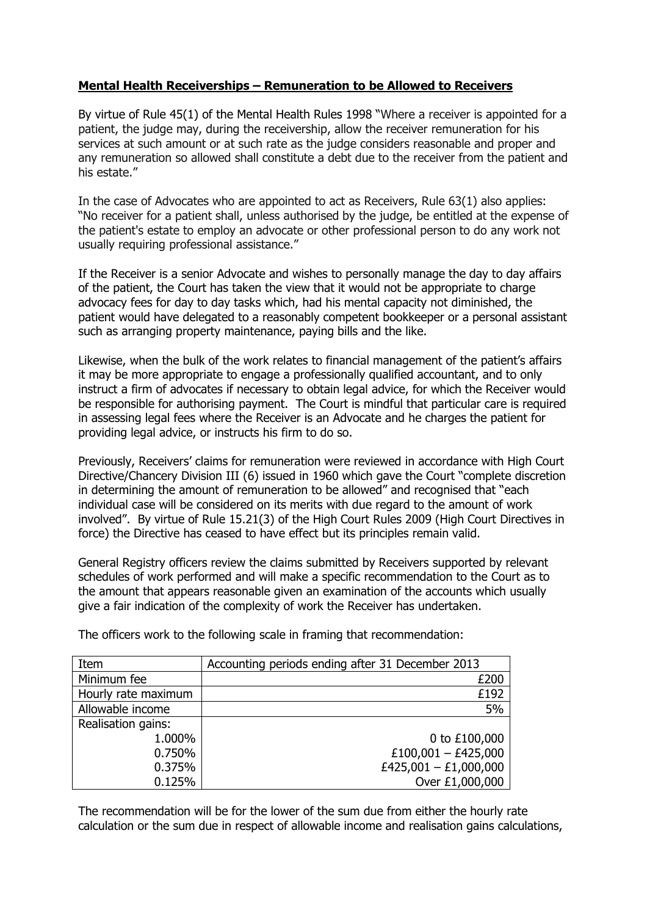## Mental Health Receiverships – Remuneration to be Allowed to Receivers

By virtue of Rule 45(1) of the Mental Health Rules 1998 "Where a receiver is appointed for a patient, the judge may, during the receivership, allow the receiver remuneration for his services at such amount or at such rate as the judge considers reasonable and proper and any remuneration so allowed shall constitute a debt due to the receiver from the patient and his estate."

In the case of Advocates who are appointed to act as Receivers, Rule 63(1) also applies: "No receiver for a patient shall, unless authorised by the judge, be entitled at the expense of the patient's estate to employ an advocate or other professional person to do any work not usually requiring professional assistance."

If the Receiver is a senior Advocate and wishes to personally manage the day to day affairs of the patient, the Court has taken the view that it would not be appropriate to charge advocacy fees for day to day tasks which, had his mental capacity not diminished, the patient would have delegated to a reasonably competent bookkeeper or a personal assistant such as arranging property maintenance, paying bills and the like.

Likewise, when the bulk of the work relates to financial management of the patient's affairs it may be more appropriate to engage a professionally qualified accountant, and to only instruct a firm of advocates if necessary to obtain legal advice, for which the Receiver would be responsible for authorising payment. The Court is mindful that particular care is required in assessing legal fees where the Receiver is an Advocate and he charges the patient for providing legal advice, or instructs his firm to do so.

Previously, Receivers' claims for remuneration were reviewed in accordance with High Court Directive/Chancery Division III (6) issued in 1960 which gave the Court "complete discretion in determining the amount of remuneration to be allowed" and recognised that "each individual case will be considered on its merits with due regard to the amount of work involved". By virtue of Rule 15.21(3) of the High Court Rules 2009 (High Court Directives in force) the Directive has ceased to have effect but its principles remain valid.

General Registry officers review the claims submitted by Receivers supported by relevant schedules of work performed and will make a specific recommendation to the Court as to the amount that appears reasonable given an examination of the accounts which usually give a fair indication of the complexity of work the Receiver has undertaken.

| Item                | Accounting periods ending after 31 December 2013 |
|---------------------|--------------------------------------------------|
| Minimum fee         | £200                                             |
| Hourly rate maximum | £192                                             |
| Allowable income    | 5%                                               |
| Realisation gains:  |                                                  |
| 1.000%              | 0 to £100,000                                    |
| 0.750%              | £100,001 - £425,000                              |
| 0.375%              | £425,001 - £1,000,000                            |
| 0.125%              | Over £1,000,000                                  |

The officers work to the following scale in framing that recommendation:

The recommendation will be for the lower of the sum due from either the hourly rate calculation or the sum due in respect of allowable income and realisation gains calculations,